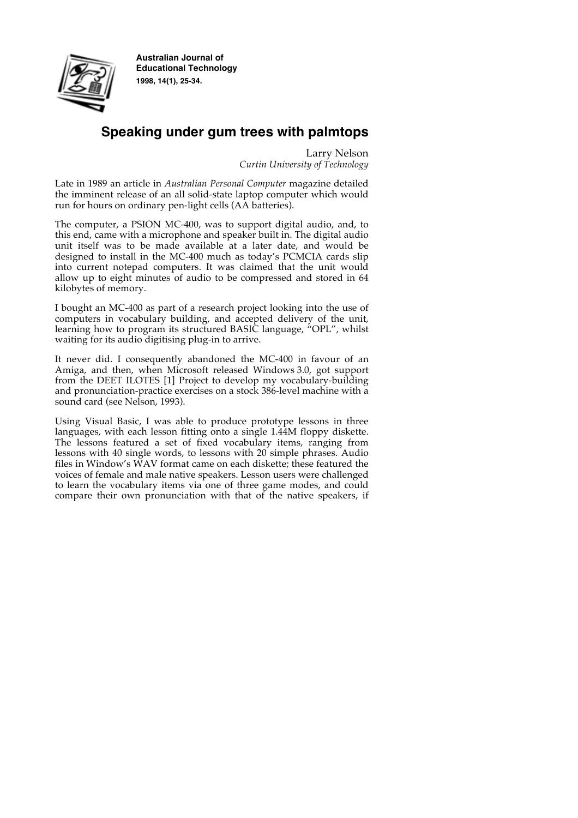

**Australian Journal of Educational Technology 1998, 14(1), 25-34.**

# **Speaking under gum trees with palmtops**

Larry Nelson *Curtin University of Technology*

Late in 1989 an article in *Australian Personal Computer* magazine detailed the imminent release of an all solid-state laptop computer which would run for hours on ordinary pen-light cells (AA batteries).

The computer, a PSION MC-400, was to support digital audio, and, to this end, came with a microphone and speaker built in. The digital audio unit itself was to be made available at a later date, and would be designed to install in the MC-400 much as today's PCMCIA cards slip into current notepad computers. It was claimed that the unit would allow up to eight minutes of audio to be compressed and stored in 64 kilobytes of memory.

I bought an MC-400 as part of a research project looking into the use of computers in vocabulary building, and accepted delivery of the unit, learning how to program its structured BASIC language, "OPL", whilst waiting for its audio digitising plug-in to arrive.

It never did. I consequently abandoned the MC-400 in favour of an Amiga, and then, when Microsoft released Windows 3.0, got support from the DEET ILOTES [1] Project to develop my vocabulary-building and pronunciation-practice exercises on a stock 386-level machine with a sound card (see Nelson, 1993).

Using Visual Basic, I was able to produce prototype lessons in three languages, with each lesson fitting onto a single 1.44M floppy diskette. The lessons featured a set of fixed vocabulary items, ranging from lessons with 40 single words, to lessons with 20 simple phrases. Audio files in Window's WAV format came on each diskette; these featured the voices of female and male native speakers. Lesson users were challenged to learn the vocabulary items via one of three game modes, and could compare their own pronunciation with that of the native speakers, if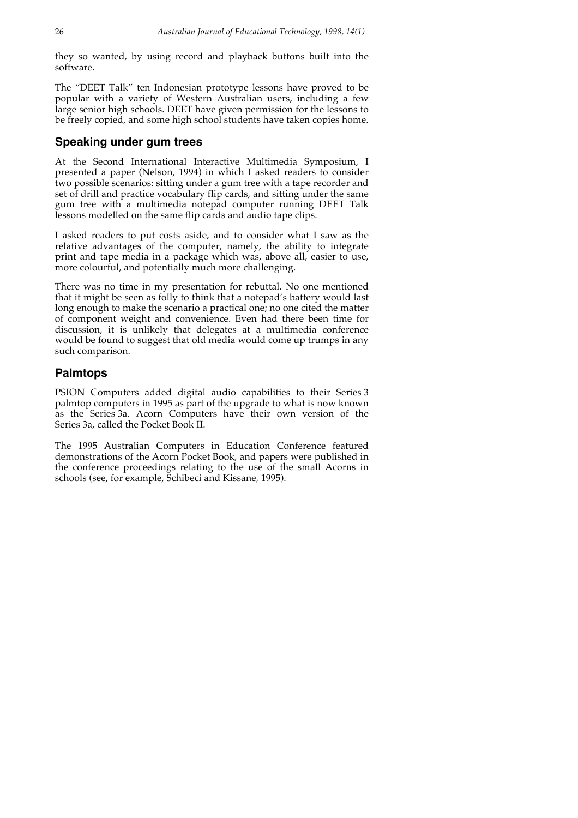they so wanted, by using record and playback buttons built into the software.

The "DEET Talk" ten Indonesian prototype lessons have proved to be popular with a variety of Western Australian users, including a few large senior high schools. DEET have given permission for the lessons to be freely copied, and some high school students have taken copies home.

## **Speaking under gum trees**

At the Second International Interactive Multimedia Symposium, I presented a paper (Nelson, 1994) in which I asked readers to consider two possible scenarios: sitting under a gum tree with a tape recorder and set of drill and practice vocabulary flip cards, and sitting under the same gum tree with a multimedia notepad computer running DEET Talk lessons modelled on the same flip cards and audio tape clips.

I asked readers to put costs aside, and to consider what I saw as the relative advantages of the computer, namely, the ability to integrate print and tape media in a package which was, above all, easier to use, more colourful, and potentially much more challenging.

There was no time in my presentation for rebuttal. No one mentioned that it might be seen as folly to think that a notepad's battery would last long enough to make the scenario a practical one; no one cited the matter of component weight and convenience. Even had there been time for discussion, it is unlikely that delegates at a multimedia conference would be found to suggest that old media would come up trumps in any such comparison.

# **Palmtops**

PSION Computers added digital audio capabilities to their Series 3 palmtop computers in 1995 as part of the upgrade to what is now known as the Series 3a. Acorn Computers have their own version of the Series 3a, called the Pocket Book II.

The 1995 Australian Computers in Education Conference featured demonstrations of the Acorn Pocket Book, and papers were published in the conference proceedings relating to the use of the small Acorns in schools (see, for example, Schibeci and Kissane, 1995).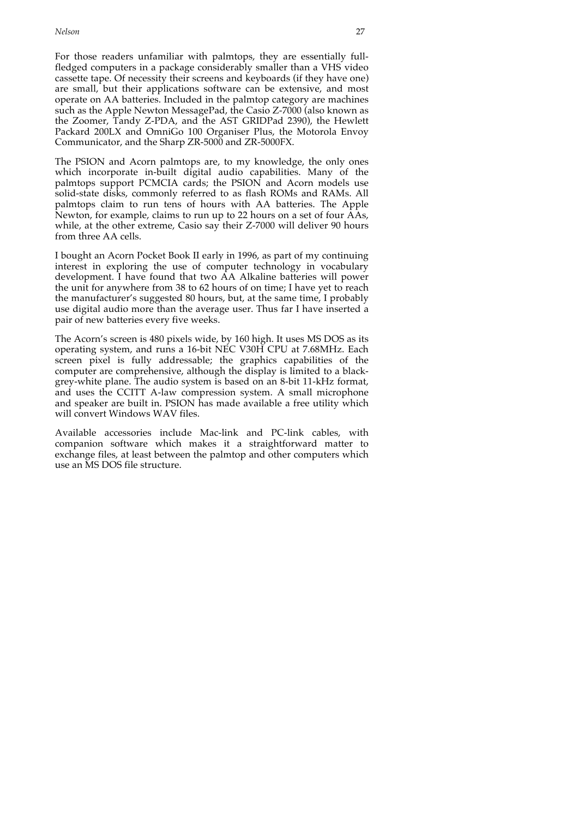For those readers unfamiliar with palmtops, they are essentially fullfledged computers in a package considerably smaller than a VHS video cassette tape. Of necessity their screens and keyboards (if they have one) are small, but their applications software can be extensive, and most operate on AA batteries. Included in the palmtop category are machines such as the Apple Newton MessagePad, the Casio Z-7000 (also known as the Zoomer, Tandy Z-PDA, and the AST GRIDPad 2390), the Hewlett Packard 200LX and OmniGo 100 Organiser Plus, the Motorola Envoy Communicator, and the Sharp ZR-5000 and ZR-5000FX.

The PSION and Acorn palmtops are, to my knowledge, the only ones which incorporate in-built digital audio capabilities. Many of the palmtops support PCMCIA cards; the PSION and Acorn models use solid-state disks, commonly referred to as flash ROMs and RAMs. All palmtops claim to run tens of hours with AA batteries. The Apple Newton, for example, claims to run up to 22 hours on a set of four AAs, while, at the other extreme, Casio say their Z-7000 will deliver 90 hours from three AA cells.

I bought an Acorn Pocket Book II early in 1996, as part of my continuing interest in exploring the use of computer technology in vocabulary development. I have found that two AA Alkaline batteries will power the unit for anywhere from 38 to 62 hours of on time; I have yet to reach the manufacturer's suggested 80 hours, but, at the same time, I probably use digital audio more than the average user. Thus far I have inserted a pair of new batteries every five weeks.

The Acorn's screen is 480 pixels wide, by 160 high. It uses MS DOS as its operating system, and runs a 16-bit NEC V30H CPU at 7.68MHz. Each screen pixel is fully addressable; the graphics capabilities of the computer are comprehensive, although the display is limited to a blackgrey-white plane. The audio system is based on an 8-bit 11-kHz format, and uses the CCITT A-law compression system. A small microphone and speaker are built in. PSION has made available a free utility which will convert Windows WAV files.

Available accessories include Mac-link and PC-link cables, with companion software which makes it a straightforward matter to exchange files, at least between the palmtop and other computers which use an MS DOS file structure.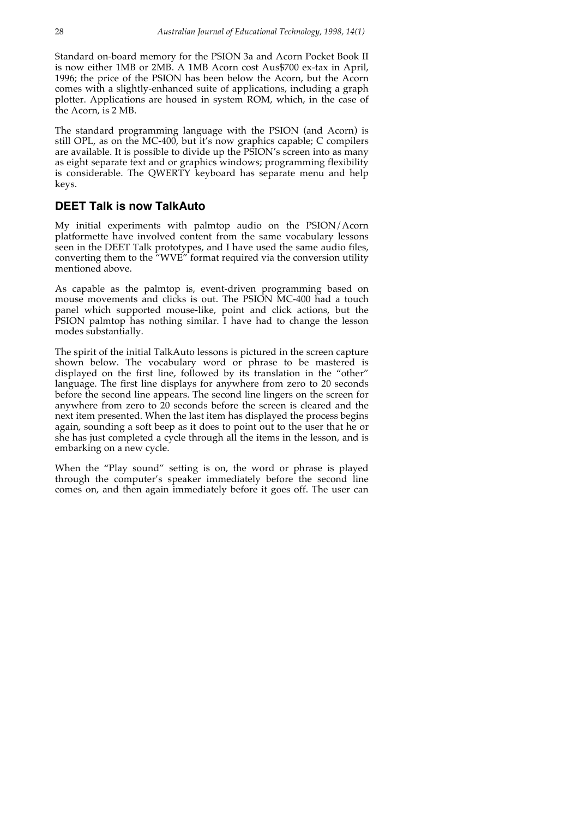Standard on-board memory for the PSION 3a and Acorn Pocket Book II is now either 1MB or 2MB. A 1MB Acorn cost Aus\$700 ex-tax in April, 1996; the price of the PSION has been below the Acorn, but the Acorn comes with a slightly-enhanced suite of applications, including a graph plotter. Applications are housed in system ROM, which, in the case of the Acorn, is 2 MB.

The standard programming language with the PSION (and Acorn) is still OPL, as on the MC-400, but it's now graphics capable; C compilers are available. It is possible to divide up the PSION's screen into as many as eight separate text and or graphics windows; programming flexibility is considerable. The QWERTY keyboard has separate menu and help keys.

#### **DEET Talk is now TalkAuto**

My initial experiments with palmtop audio on the PSION/Acorn platformette have involved content from the same vocabulary lessons seen in the DEET Talk prototypes, and I have used the same audio files, converting them to the "WVE" format required via the conversion utility mentioned above.

As capable as the palmtop is, event-driven programming based on mouse movements and clicks is out. The PSION MC-400 had a touch panel which supported mouse-like, point and click actions, but the PSION palmtop has nothing similar. I have had to change the lesson modes substantially.

The spirit of the initial TalkAuto lessons is pictured in the screen capture shown below. The vocabulary word or phrase to be mastered is displayed on the first line, followed by its translation in the "other" language. The first line displays for anywhere from zero to 20 seconds before the second line appears. The second line lingers on the screen for anywhere from zero to 20 seconds before the screen is cleared and the next item presented. When the last item has displayed the process begins again, sounding a soft beep as it does to point out to the user that he or she has just completed a cycle through all the items in the lesson, and is embarking on a new cycle.

When the "Play sound" setting is on, the word or phrase is played through the computer's speaker immediately before the second line comes on, and then again immediately before it goes off. The user can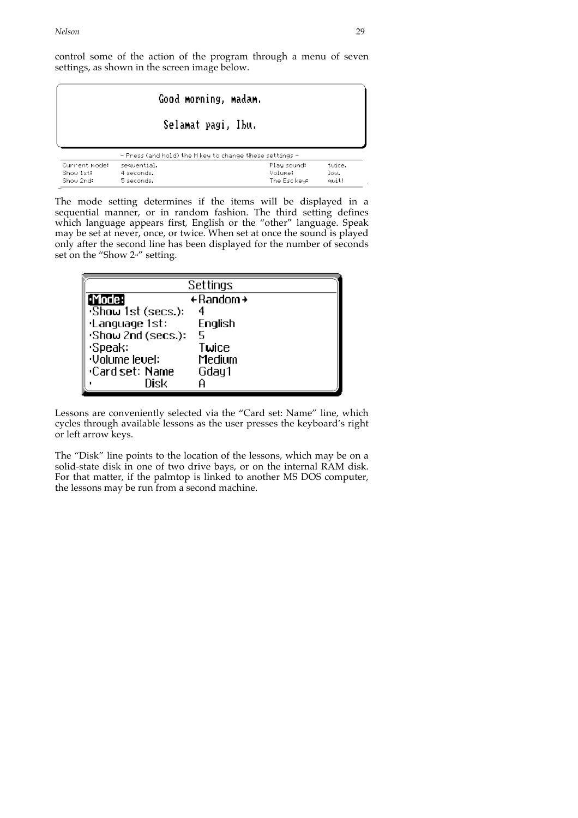control some of the action of the program through a menu of seven settings, as shown in the screen image below.

| Good morning, madam.                    |                                                         |                                        |                         |
|-----------------------------------------|---------------------------------------------------------|----------------------------------------|-------------------------|
|                                         | Selamat pagi, Ibu.                                      |                                        |                         |
|                                         | - Press (and hold) the M key to change these settings - |                                        |                         |
| Current mode:<br>Show 1st:<br>Show 2nd: | sequential.<br>4 seconds.<br>5 seconds.                 | Play sound:<br>Volume:<br>The Esc key: | twice.<br>low.<br>quit! |

The Esc key: quit!

The mode setting determines if the items will be displayed in a sequential manner, or in random fashion. The third setting defines which language appears first, English or the "other" language. Speak may be set at never, once, or twice. When set at once the sound is played only after the second line has been displayed for the number of seconds set on the "Show  $2<sup>nd</sup>$ " setting.

| Settings             |                |  |
|----------------------|----------------|--|
| [·Mode:              | $+$ Random $+$ |  |
| Show 1st (secs.):    |                |  |
| ·Language 1st:       | English        |  |
| Show 2nd (secs.):    | 5.             |  |
| Speak:               | Twice          |  |
| <b>Uolume</b> level: | Medium         |  |
| •Card set: Name      | Gday 1         |  |
| Nisk                 |                |  |

Lessons are conveniently selected via the "Card set: Name" line, which cycles through available lessons as the user presses the keyboard's right or left arrow keys.

The "Disk" line points to the location of the lessons, which may be on a solid-state disk in one of two drive bays, or on the internal RAM disk. For that matter, if the palmtop is linked to another MS DOS computer, the lessons may be run from a second machine.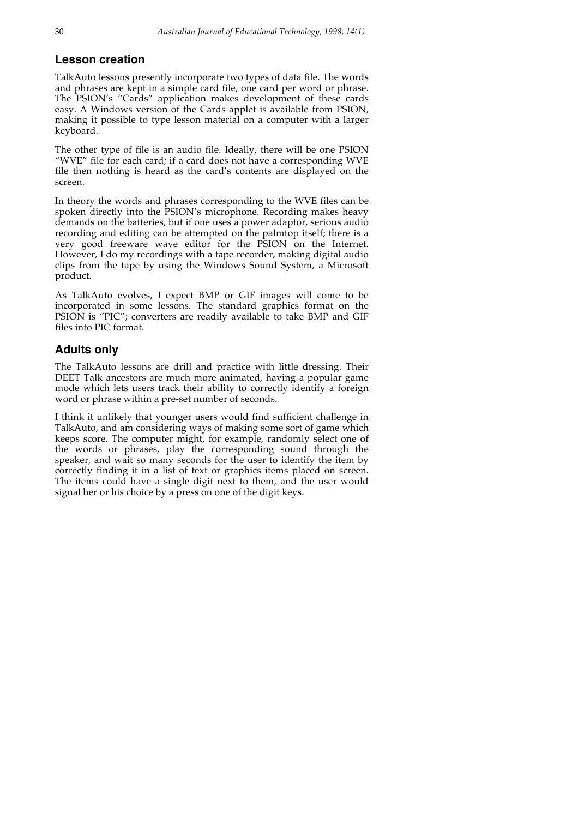### **Lesson creation**

TalkAuto lessons presently incorporate two types of data file. The words and phrases are kept in a simple card file, one card per word or phrase. The PSION's "Cards" application makes development of these cards easy. A Windows version of the Cards applet is available from PSION, making it possible to type lesson material on a computer with a larger keyboard.

The other type of file is an audio file. Ideally, there will be one PSION "WVE" file for each card; if a card does not have a corresponding WVE file then nothing is heard as the card's contents are displayed on the screen.

In theory the words and phrases corresponding to the WVE files can be spoken directly into the PSION's microphone. Recording makes heavy demands on the batteries, but if one uses a power adaptor, serious audio recording and editing can be attempted on the palmtop itself; there is a very good freeware wave editor for the PSION on the Internet. However, I do my recordings with a tape recorder, making digital audio clips from the tape by using the Windows Sound System, a Microsoft product.

As TalkAuto evolves, I expect BMP or GIF images will come to be incorporated in some lessons. The standard graphics format on the PSION is "PIC"; converters are readily available to take BMP and GIF files into PIC format.

## **Adults only**

The TalkAuto lessons are drill and practice with little dressing. Their DEET Talk ancestors are much more animated, having a popular game mode which lets users track their ability to correctly identify a foreign word or phrase within a pre-set number of seconds.

I think it unlikely that younger users would find sufficient challenge in TalkAuto, and am considering ways of making some sort of game which keeps score. The computer might, for example, randomly select one of the words or phrases, play the corresponding sound through the speaker, and wait so many seconds for the user to identify the item by correctly finding it in a list of text or graphics items placed on screen. The items could have a single digit next to them, and the user would signal her or his choice by a press on one of the digit keys.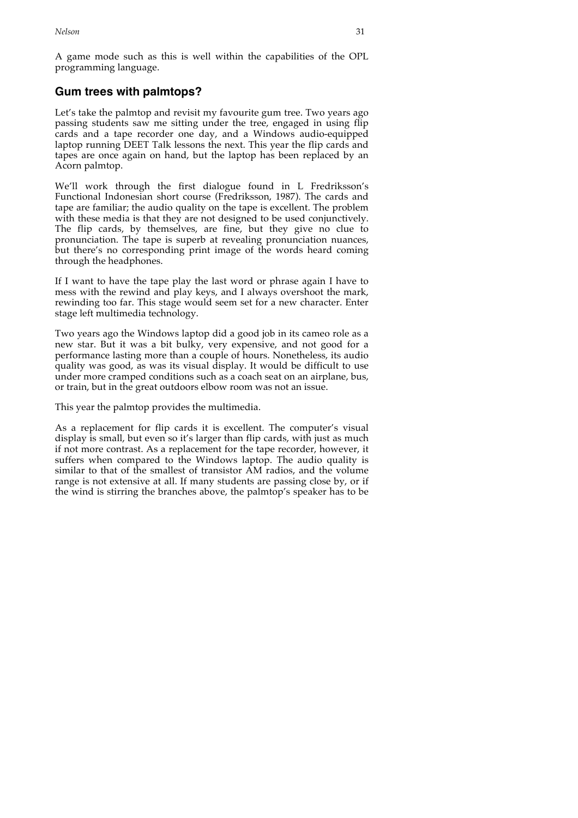A game mode such as this is well within the capabilities of the OPL programming language.

# **Gum trees with palmtops?**

Let's take the palmtop and revisit my favourite gum tree. Two years ago passing students saw me sitting under the tree, engaged in using flip cards and a tape recorder one day, and a Windows audio-equipped laptop running DEET Talk lessons the next. This year the flip cards and tapes are once again on hand, but the laptop has been replaced by an Acorn palmtop.

We'll work through the first dialogue found in L Fredriksson's Functional Indonesian short course (Fredriksson, 1987). The cards and tape are familiar; the audio quality on the tape is excellent. The problem with these media is that they are not designed to be used conjunctively. The flip cards, by themselves, are fine, but they give no clue to pronunciation. The tape is superb at revealing pronunciation nuances, but there's no corresponding print image of the words heard coming through the headphones.

If I want to have the tape play the last word or phrase again I have to mess with the rewind and play keys, and I always overshoot the mark, rewinding too far. This stage would seem set for a new character. Enter stage left multimedia technology.

Two years ago the Windows laptop did a good job in its cameo role as a new star. But it was a bit bulky, very expensive, and not good for a performance lasting more than a couple of hours. Nonetheless, its audio quality was good, as was its visual display. It would be difficult to use under more cramped conditions such as a coach seat on an airplane, bus, or train, but in the great outdoors elbow room was not an issue.

This year the palmtop provides the multimedia.

As a replacement for flip cards it is excellent. The computer's visual display is small, but even so it's larger than flip cards, with just as much if not more contrast. As a replacement for the tape recorder, however, it suffers when compared to the Windows laptop. The audio quality is similar to that of the smallest of transistor AM radios, and the volume range is not extensive at all. If many students are passing close by, or if the wind is stirring the branches above, the palmtop's speaker has to be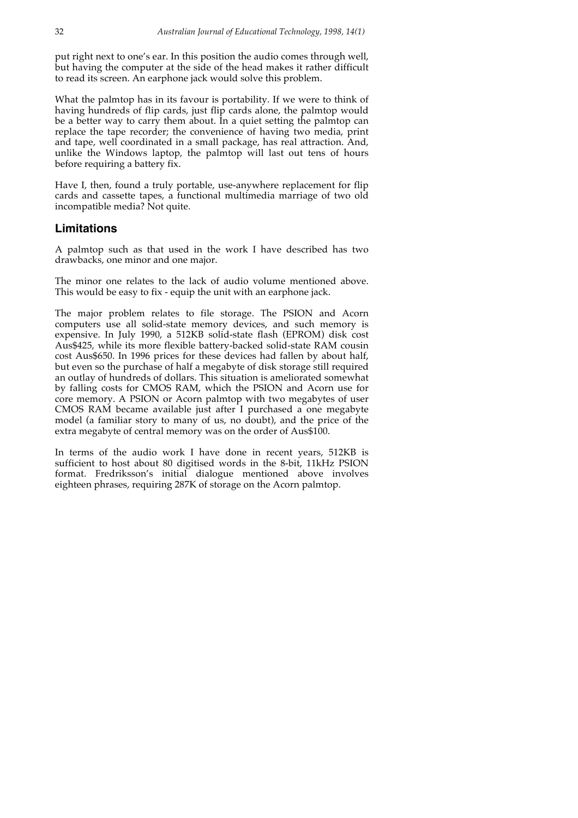put right next to one's ear. In this position the audio comes through well, but having the computer at the side of the head makes it rather difficult to read its screen. An earphone jack would solve this problem.

What the palmtop has in its favour is portability. If we were to think of having hundreds of flip cards, just flip cards alone, the palmtop would be a better way to carry them about. In a quiet setting the palmtop can replace the tape recorder; the convenience of having two media, print and tape, well coordinated in a small package, has real attraction. And, unlike the Windows laptop, the palmtop will last out tens of hours before requiring a battery fix.

Have I, then, found a truly portable, use-anywhere replacement for flip cards and cassette tapes, a functional multimedia marriage of two old incompatible media? Not quite.

#### **Limitations**

A palmtop such as that used in the work I have described has two drawbacks, one minor and one major.

The minor one relates to the lack of audio volume mentioned above. This would be easy to fix - equip the unit with an earphone jack.

The major problem relates to file storage. The PSION and Acorn computers use all solid-state memory devices, and such memory is expensive. In July 1990, a 512KB solid-state flash (EPROM) disk cost Aus\$425, while its more flexible battery-backed solid-state RAM cousin cost Aus\$650. In 1996 prices for these devices had fallen by about half, but even so the purchase of half a megabyte of disk storage still required an outlay of hundreds of dollars. This situation is ameliorated somewhat by falling costs for CMOS RAM, which the PSION and Acorn use for core memory. A PSION or Acorn palmtop with two megabytes of user CMOS RAM became available just after I purchased a one megabyte model (a familiar story to many of us, no doubt), and the price of the extra megabyte of central memory was on the order of Aus\$100.

In terms of the audio work I have done in recent years, 512KB is sufficient to host about 80 digitised words in the 8-bit, 11kHz PSION format. Fredriksson's initial dialogue mentioned above involves eighteen phrases, requiring 287K of storage on the Acorn palmtop.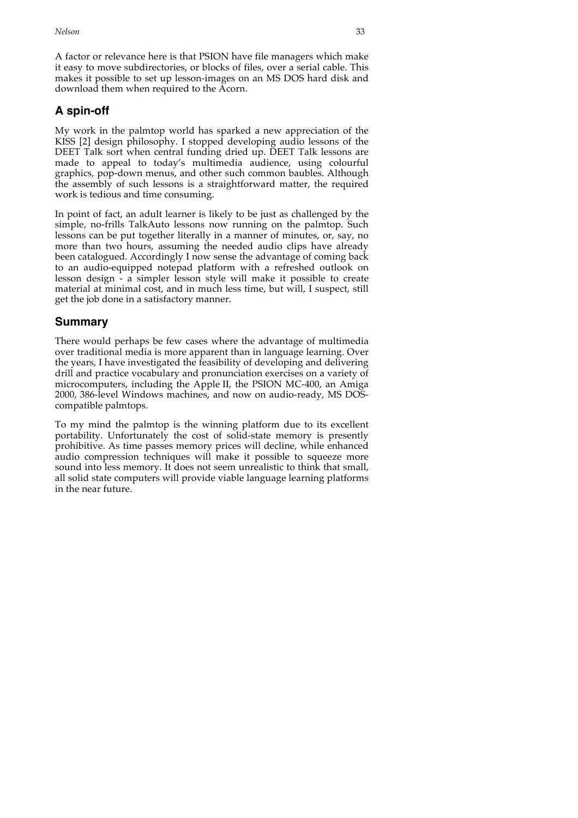A factor or relevance here is that PSION have file managers which make it easy to move subdirectories, or blocks of files, over a serial cable. This makes it possible to set up lesson-images on an MS DOS hard disk and download them when required to the Acorn.

# **A spin-off**

My work in the palmtop world has sparked a new appreciation of the KISS [2] design philosophy. I stopped developing audio lessons of the DEET Talk sort when central funding dried up. DEET Talk lessons are made to appeal to today's multimedia audience, using colourful graphics, pop-down menus, and other such common baubles. Although the assembly of such lessons is a straightforward matter, the required work is tedious and time consuming.

In point of fact, an adult learner is likely to be just as challenged by the simple, no-frills TalkAuto lessons now running on the palmtop. Such lessons can be put together literally in a manner of minutes, or, say, no more than two hours, assuming the needed audio clips have already been catalogued. Accordingly I now sense the advantage of coming back to an audio-equipped notepad platform with a refreshed outlook on lesson design - a simpler lesson style will make it possible to create material at minimal cost, and in much less time, but will, I suspect, still get the job done in a satisfactory manner.

# **Summary**

There would perhaps be few cases where the advantage of multimedia over traditional media is more apparent than in language learning. Over the years, I have investigated the feasibility of developing and delivering drill and practice vocabulary and pronunciation exercises on a variety of microcomputers, including the Apple II, the PSION MC-400, an Amiga 2000, 386-level Windows machines, and now on audio-ready, MS DOScompatible palmtops.

To my mind the palmtop is the winning platform due to its excellent portability. Unfortunately the cost of solid-state memory is presently prohibitive. As time passes memory prices will decline, while enhanced audio compression techniques will make it possible to squeeze more sound into less memory. It does not seem unrealistic to think that small, all solid state computers will provide viable language learning platforms in the near future.